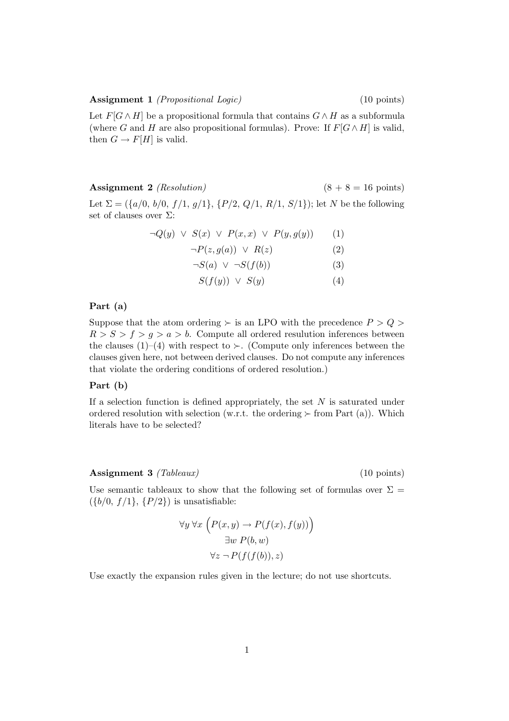Assignment 1 *(Propositional Logic)* (10 points)

Let  $F[G \wedge H]$  be a propositional formula that contains  $G \wedge H$  as a subformula (where G and H are also propositional formulas). Prove: If  $F[G \wedge H]$  is valid, then  $G \to F[H]$  is valid.

Assignment 2 (Resolution)  $(8 + 8 = 16 \text{ points})$ 

Let  $\Sigma = (\{a/0, b/0, f/1, g/1\}, \{P/2, Q/1, R/1, S/1\})$ ; let N be the following set of clauses over  $\Sigma$ :

| $\neg Q(y) \lor S(x) \lor P(x,x) \lor P(y,g(y))$<br>$\left(1\right)$ |
|----------------------------------------------------------------------|
|----------------------------------------------------------------------|

- $\neg P(z, g(a)) \lor R(z)$ (2)
- $\neg S(a) \lor \neg S(f(b))$ (3)
- $S(f(y)) \vee S(y)$  (4)

### Part (a)

Suppose that the atom ordering  $\succ$  is an LPO with the precedence  $P > Q >$  $R > S > f > q > a > b$ . Compute all ordered resulution inferences between the clauses (1)–(4) with respect to  $\succ$ . (Compute only inferences between the clauses given here, not between derived clauses. Do not compute any inferences that violate the ordering conditions of ordered resolution.)

### Part (b)

If a selection function is defined appropriately, the set  $N$  is saturated under ordered resolution with selection (w.r.t. the ordering  $\succ$  from Part (a)). Which literals have to be selected?

#### Assignment 3 *(Tableaux)* (10 points)

Use semantic tableaux to show that the following set of formulas over  $\Sigma =$  $({b}/0, f/1, {p}/2)$  is unsatisfiable:

$$
\forall y \forall x \left( P(x, y) \rightarrow P(f(x), f(y)) \right)
$$

$$
\exists w \ P(b, w)
$$

$$
\forall z \neg P(f(f(b)), z)
$$

Use exactly the expansion rules given in the lecture; do not use shortcuts.